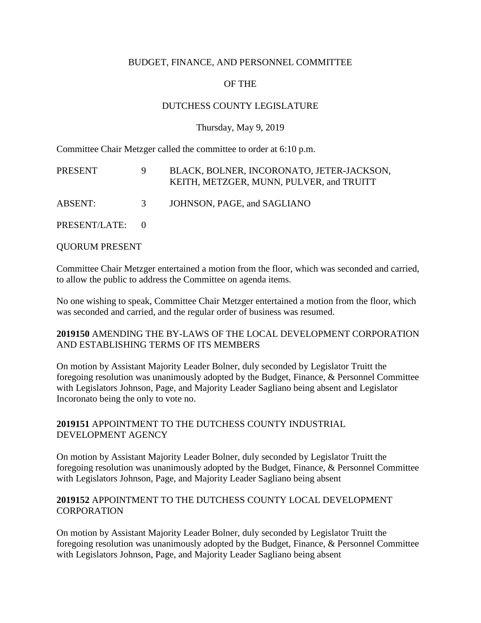### BUDGET, FINANCE, AND PERSONNEL COMMITTEE

# OF THE

## DUTCHESS COUNTY LEGISLATURE

### Thursday, May 9, 2019

Committee Chair Metzger called the committee to order at 6:10 p.m.

| PRESENT         | 9             | BLACK, BOLNER, INCORONATO, JETER-JACKSON,<br>KEITH, METZGER, MUNN, PULVER, and TRUITT |
|-----------------|---------------|---------------------------------------------------------------------------------------|
| ABSENT:         | $\mathcal{F}$ | JOHNSON, PAGE, and SAGLIANO                                                           |
| PRESENT/LATE: 0 |               |                                                                                       |

### QUORUM PRESENT

Committee Chair Metzger entertained a motion from the floor, which was seconded and carried, to allow the public to address the Committee on agenda items.

No one wishing to speak, Committee Chair Metzger entertained a motion from the floor, which was seconded and carried, and the regular order of business was resumed.

### **2019150** AMENDING THE BY-LAWS OF THE LOCAL DEVELOPMENT CORPORATION AND ESTABLISHING TERMS OF ITS MEMBERS

On motion by Assistant Majority Leader Bolner, duly seconded by Legislator Truitt the foregoing resolution was unanimously adopted by the Budget, Finance, & Personnel Committee with Legislators Johnson, Page, and Majority Leader Sagliano being absent and Legislator Incoronato being the only to vote no.

## **2019151** APPOINTMENT TO THE DUTCHESS COUNTY INDUSTRIAL DEVELOPMENT AGENCY

On motion by Assistant Majority Leader Bolner, duly seconded by Legislator Truitt the foregoing resolution was unanimously adopted by the Budget, Finance, & Personnel Committee with Legislators Johnson, Page, and Majority Leader Sagliano being absent

## **2019152** APPOINTMENT TO THE DUTCHESS COUNTY LOCAL DEVELOPMENT **CORPORATION**

On motion by Assistant Majority Leader Bolner, duly seconded by Legislator Truitt the foregoing resolution was unanimously adopted by the Budget, Finance, & Personnel Committee with Legislators Johnson, Page, and Majority Leader Sagliano being absent